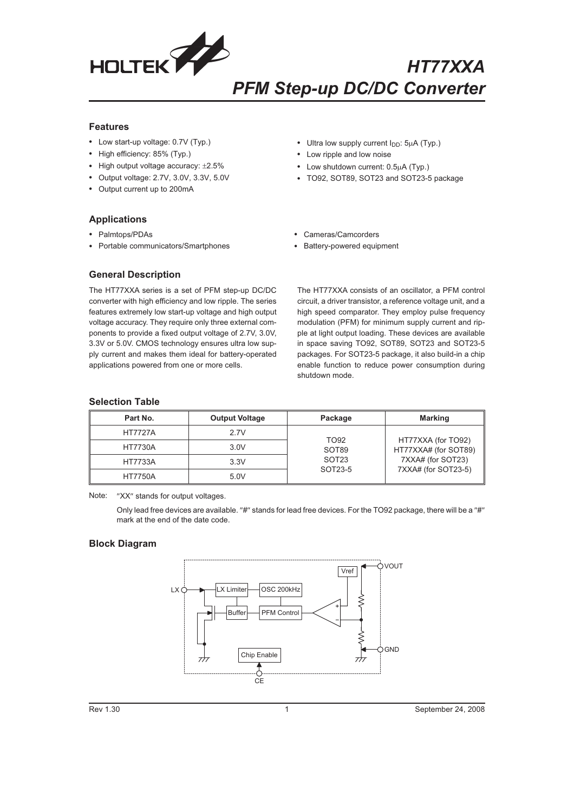

## **Features**

- Low start-up voltage: 0.7V (Typ.)
- High efficiency: 85% (Typ.)
- High output voltage accuracy:  $\pm 2.5\%$
- Output voltage: 2.7V, 3.0V, 3.3V, 5.0V
- Output current up to 200mA
- Ultra low supply current I<sub>DD</sub>: 5µA (Typ.)
- Low ripple and low noise
- Low shutdown current: 0.5µA (Typ.)
- TO92, SOT89, SOT23 and SOT23-5 package

- **Applications**
- Palmtops/PDAs
- Portable communicators/Smartphones
- Cameras/Camcorders
- Battery-powered equipment

## **General Description**

The HT77XXA series is a set of PFM step-up DC/DC converter with high efficiency and low ripple. The series features extremely low start-up voltage and high output voltage accuracy. They require only three external components to provide a fixed output voltage of 2.7V, 3.0V, 3.3V or 5.0V. CMOS technology ensures ultra low supply current and makes them ideal for battery-operated applications powered from one or more cells.

The HT77XXA consists of an oscillator, a PFM control circuit, a driver transistor, a reference voltage unit, and a high speed comparator. They employ pulse frequency modulation (PFM) for minimum supply current and ripple at light output loading. These devices are available in space saving TO92, SOT89, SOT23 and SOT23-5 packages. For SOT23-5 package, it also build-in a chip enable function to reduce power consumption during shutdown mode.

### **Selection Table**

| Part No.       | <b>Output Voltage</b> | Package                                                   | <b>Marking</b>                             |
|----------------|-----------------------|-----------------------------------------------------------|--------------------------------------------|
| <b>HT7727A</b> | 2.7V                  |                                                           |                                            |
| <b>HT7730A</b> | 3.0V                  | TO <sub>92</sub><br>SOT89<br>SOT <sub>23</sub><br>SOT23-5 | HT77XXA (for TO92)<br>HT77XXA# (for SOT89) |
| <b>HT7733A</b> | 3.3V                  |                                                           | 7XXA# (for SOT23)                          |
| <b>HT7750A</b> | 5.0V                  |                                                           | 7XXA# (for SOT23-5)                        |

Note: "XX" stands for output voltages.

Only lead free devices are available. "#" stands for lead free devices. For the TO92 package, there will be a "#" mark at the end of the date code.

## **Block Diagram**

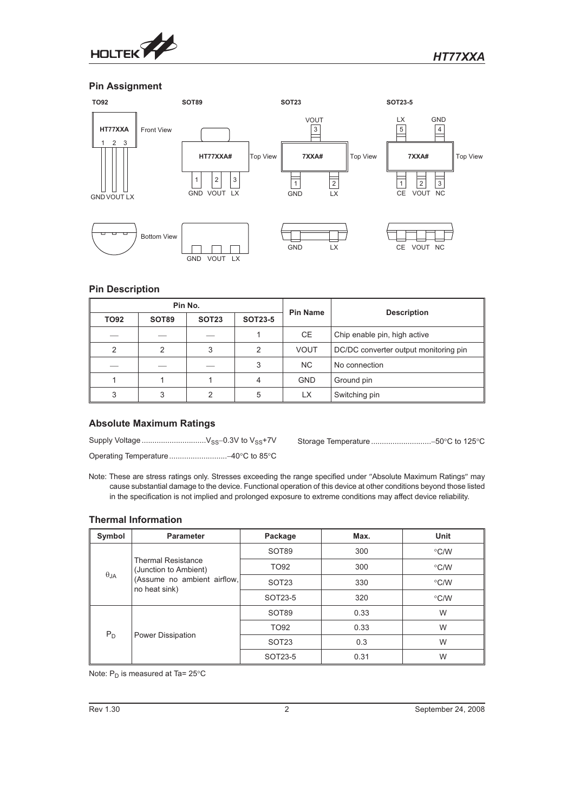

## **Pin Assignment**



# **Pin Description**

| Pin No.       |       | <b>Pin Name</b> | <b>Description</b> |                |                                       |
|---------------|-------|-----------------|--------------------|----------------|---------------------------------------|
| <b>TO92</b>   | SOT89 | <b>SOT23</b>    | <b>SOT23-5</b>     |                |                                       |
|               |       |                 |                    | CE.            | Chip enable pin, high active          |
| $\mathcal{P}$ | 2     | 3               | 2                  | <b>VOUT</b>    | DC/DC converter output monitoring pin |
|               |       |                 | 3                  | N <sub>C</sub> | No connection                         |
|               |       |                 |                    | <b>GND</b>     | Ground pin                            |
| 3             |       |                 | 5                  | <b>LX</b>      | Switching pin                         |

# **Absolute Maximum Ratings**

Note: These are stress ratings only. Stresses exceeding the range specified under "Absolute Maximum Ratings" may cause substantial damage to the device. Functional operation of this device at other conditions beyond those listed in the specification is not implied and prolonged exposure to extreme conditions may affect device reliability.

## **Thermal Information**

| Symbol | Parameter                                                                                                           | Package           | Max. | Unit               |
|--------|---------------------------------------------------------------------------------------------------------------------|-------------------|------|--------------------|
|        |                                                                                                                     | SOT89             | 300  | $\degree$ C/W      |
|        | <b>Thermal Resistance</b><br>(Junction to Ambient)<br>$\theta_{JA}$<br>(Assume no ambient airflow,<br>no heat sink) | TO92              | 300  | $\degree$ C/W      |
|        |                                                                                                                     | SOT <sub>23</sub> | 330  | $\degree$ C/W      |
|        |                                                                                                                     | SOT23-5           | 320  | $\rm ^{\circ}$ C/W |
|        | $P_D$<br>Power Dissipation                                                                                          | SOT89             | 0.33 | W                  |
|        |                                                                                                                     | TO92              | 0.33 | W                  |
|        |                                                                                                                     | SOT <sub>23</sub> | 0.3  | W                  |
|        |                                                                                                                     | SOT23-5           | 0.31 | W                  |

Note:  $P_D$  is measured at Ta= 25°C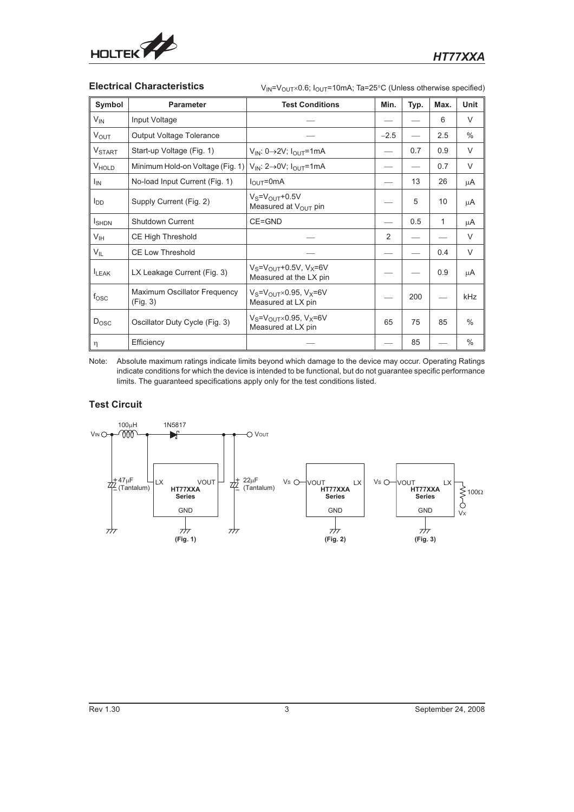

Electrical Characteristics  $V_{IN}=V_{OUT}\times 0.6$ ; I<sub>OUT</sub>=10mA; Ta=25°C (Unless otherwise specified)

| Symbol                   | <b>Parameter</b>                         | <b>Test Conditions</b>                                         | Min.   | Typ. | Max.         | <b>Unit</b>   |
|--------------------------|------------------------------------------|----------------------------------------------------------------|--------|------|--------------|---------------|
| $V_{IN}$                 | Input Voltage                            |                                                                |        |      | 6            | $\vee$        |
| V <sub>OUT</sub>         | Output Voltage Tolerance                 |                                                                | $-2.5$ |      | 2.5          | $\frac{0}{0}$ |
| <b>V<sub>START</sub></b> | Start-up Voltage (Fig. 1)                | $V_{IN}: 0 \rightarrow 2V$ ; $I_{OUT} = 1mA$                   |        | 0.7  | 0.9          | $\vee$        |
| V <sub>HOLD</sub>        | Minimum Hold-on Voltage (Fig. 1)         | $V_{IN}: 2 \rightarrow 0V$ ; $I_{OUT} = 1mA$                   |        |      | 0.7          | $\vee$        |
| $I_{IN}$                 | No-load Input Current (Fig. 1)           | $I_{\text{OUT}} = 0 \text{mA}$                                 |        | 13   | 26           | μA            |
| l <sub>DD</sub>          | Supply Current (Fig. 2)                  | $V_S = V_{OUT} + 0.5V$<br>Measured at V <sub>OUT</sub> pin     |        | 5    | 10           | μA            |
| <b>I</b> SHDN            | <b>Shutdown Current</b>                  | CE=GND                                                         |        | 0.5  | $\mathbf{1}$ | μA            |
| V <sub>IH</sub>          | <b>CE High Threshold</b>                 |                                                                | 2      |      |              | $\vee$        |
| $V_{IL}$                 | <b>CE Low Threshold</b>                  |                                                                |        |      | 0.4          | $\vee$        |
| <b>I</b> LEAK            | LX Leakage Current (Fig. 3)              | $V_S = V_{OUT} + 0.5V$ , $V_X = 6V$<br>Measured at the LX pin  |        |      | 0.9          | μA            |
| $f_{\rm OSC}$            | Maximum Oscillator Frequency<br>(Fig. 3) | $V_S = V_{OUT} \times 0.95$ , $V_X = 6V$<br>Measured at LX pin |        | 200  |              | <b>kHz</b>    |
| $D_{\text{OSC}}$         | Oscillator Duty Cycle (Fig. 3)           | $V_S = V_{OUT} \times 0.95$ , $V_X = 6V$<br>Measured at LX pin | 65     | 75   | 85           | $\frac{0}{0}$ |
| $\eta$                   | Efficiency                               |                                                                |        | 85   |              | $\%$          |

Note: Absolute maximum ratings indicate limits beyond which damage to the device may occur. Operating Ratings indicate conditions for which the device is intended to be functional, but do not guarantee specific performance limits. The guaranteed specifications apply only for the test conditions listed.

# **Test Circuit**

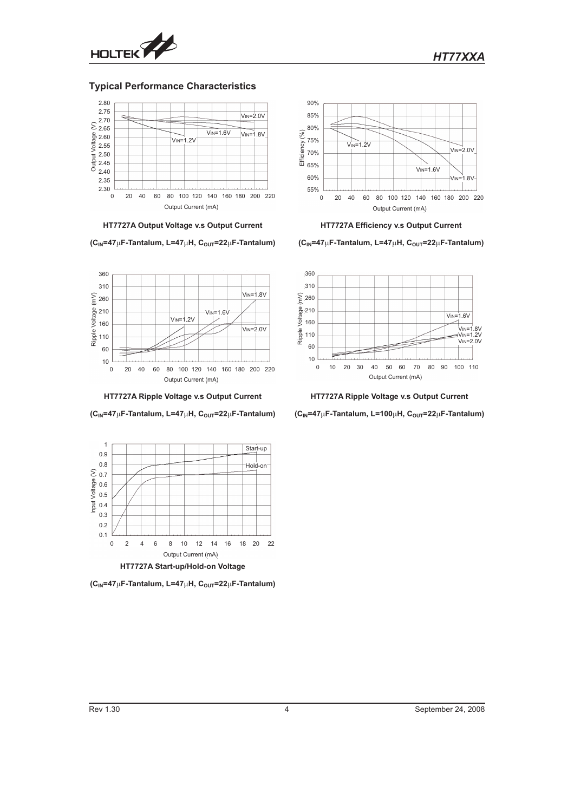

## **Typical Performance Characteristics**



**HT7727A Output Voltage v.s Output Current**

**(CIN=47F-Tantalum, L=47H, COUT=22F-Tantalum)**



**HT7727A Ripple Voltage v.s Output Current**

**(CIN=47F-Tantalum, L=47H, COUT=22F-Tantalum)**



**(CIN=47F-Tantalum, L=47H, COUT=22F-Tantalum)**



**HT7727A Efficiency v.s Output Current**

**(CIN=47F-Tantalum, L=47H, COUT=22F-Tantalum)**



**HT7727A Ripple Voltage v.s Output Current**

**(CIN=47F-Tantalum, L=100H, COUT=22F-Tantalum)**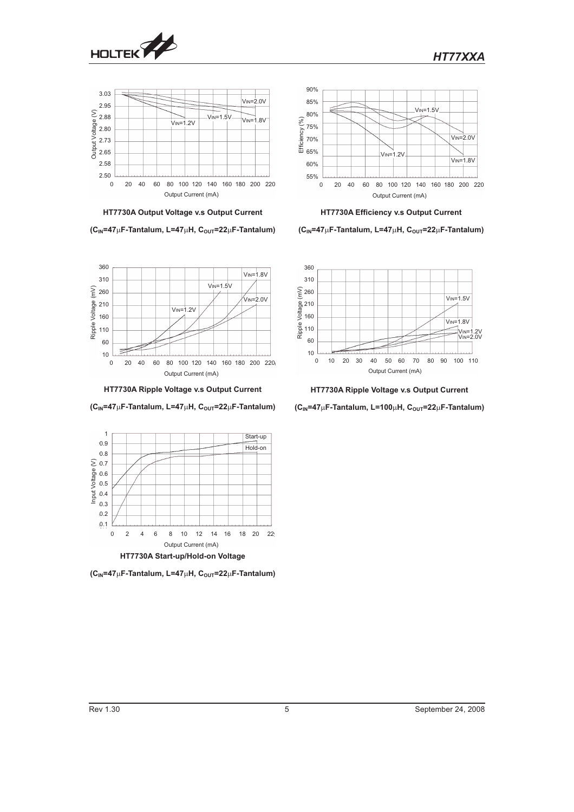

*HT77XXA*





**(CIN=47F-Tantalum, L=47H, COUT=22F-Tantalum)**



**HT7730A Efficiency v.s Output Current**

**(CIN=47F-Tantalum, L=47H, COUT=22F-Tantalum)**



**HT7730A Ripple Voltage v.s Output Current**

**(CIN=47F-Tantalum, L=100H, COUT=22F-Tantalum)**



**HT7730A Ripple Voltage v.s Output Current**

**(C<sub>IN</sub>=47**μF-Tantalum, L=47μH, C<sub>OUT</sub>=22μF-Tantalum)



 $(C<sub>IN</sub>=47<sub>µ</sub>F-Tantalum, L=47<sub>µ</sub>H, C<sub>OUT</sub>=22<sub>µ</sub>F-Tantalum)$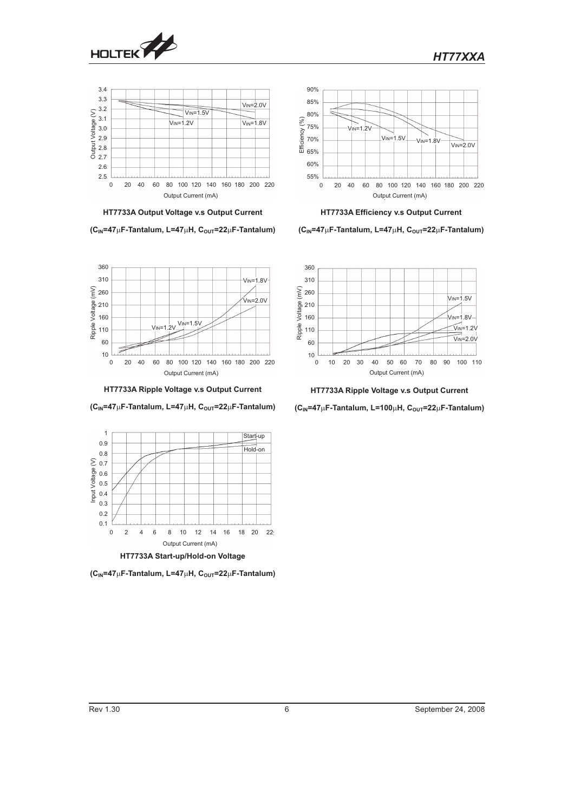

360



**HT7733A Output Voltage v.s Output Current**

**(CIN=47F-Tantalum, L=47H, COUT=22F-Tantalum)**



**HT7733A Efficiency v.s Output Current**

**(CIN=47F-Tantalum, L=47H, COUT=22F-Tantalum)**



**HT7733A Ripple Voltage v.s Output Current**

**(CIN=47F-Tantalum, L=100H, COUT=22F-Tantalum)**



**(C<sub>IN</sub>=47**μF-Tantalum, L=47μH, C<sub>OUT</sub>=22μF-Tantalum)



 $(C<sub>IN</sub>=47<sub>µ</sub>F-Tantalum, L=47<sub>µ</sub>H, C<sub>OUT</sub>=22<sub>µ</sub>F-Tantalum)$ 

*HT77XXA*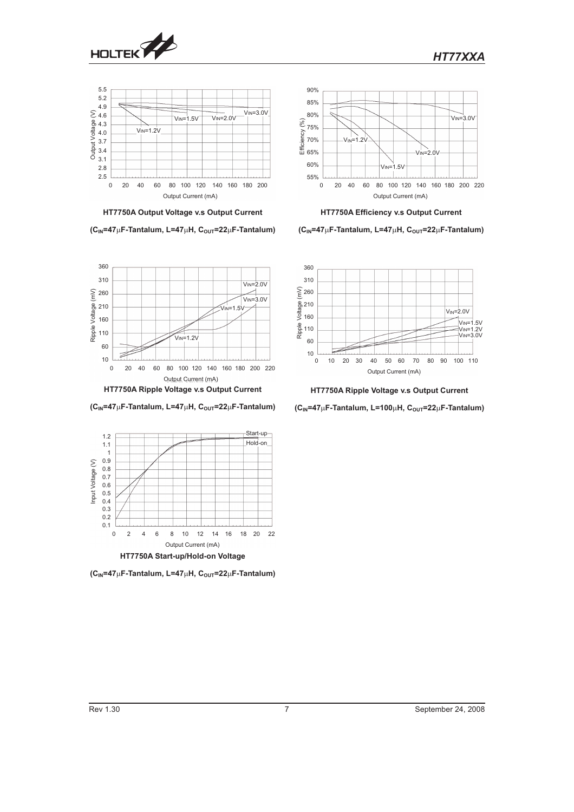

360



**HT7750A Output Voltage v.s Output Current**

**(CIN=47F-Tantalum, L=47H, COUT=22F-Tantalum)**



**HT7750A Efficiency v.s Output Current**

**(CIN=47F-Tantalum, L=47H, COUT=22F-Tantalum)**



**HT7750A Ripple Voltage v.s Output Current**

**(CIN=47F-Tantalum, L=100H, COUT=22F-Tantalum)**





 $(C<sub>IN</sub>=47<sub>µ</sub>F-Tantalum, L=47<sub>µ</sub>H, C<sub>OUT</sub>=22<sub>µ</sub>F-Tantalum)$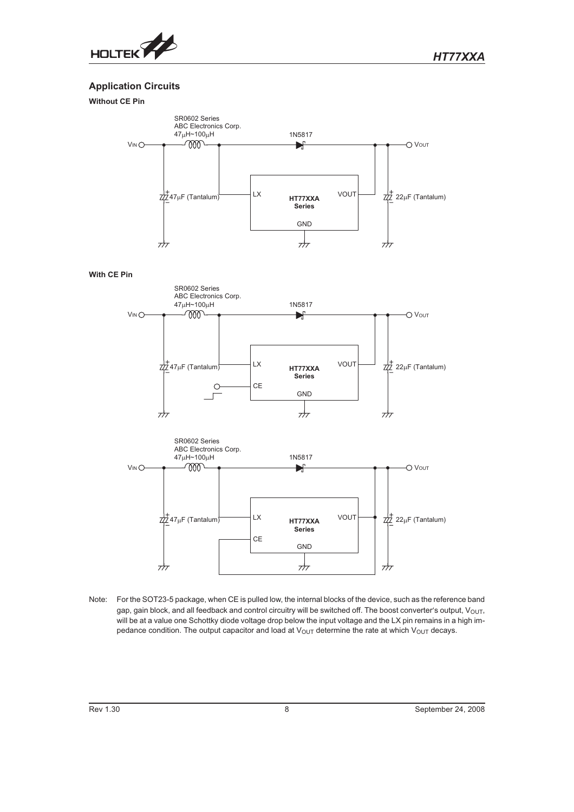

# **Application Circuits**

# **Without CE Pin**



#### **With CE Pin**





Note: For the SOT23-5 package, when CE is pulled low, the internal blocks of the device, such as the reference band gap, gain block, and all feedback and control circuitry will be switched off. The boost converter's output,  $V_{\text{OUT}}$ , will be at a value one Schottky diode voltage drop below the input voltage and the LX pin remains in a high impedance condition. The output capacitor and load at  $V_{\text{OUT}}$  determine the rate at which  $V_{\text{OUT}}$  decays.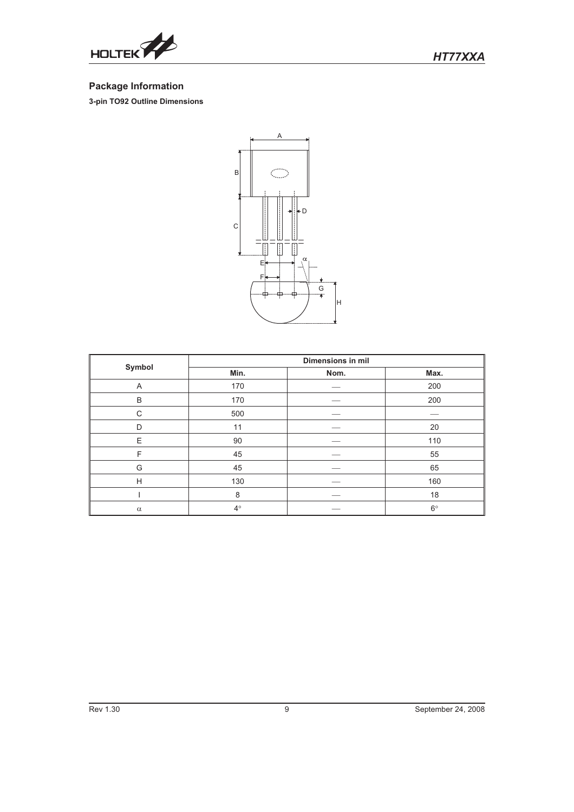

# **Package Information**

**3-pin TO92 Outline Dimensions**



|          | Dimensions in mil |      |             |  |
|----------|-------------------|------|-------------|--|
| Symbol   | Min.              | Nom. | Max.        |  |
| A        | 170               |      | 200         |  |
| B        | 170               |      | 200         |  |
| C        | 500               |      |             |  |
| D        | 11                |      | 20          |  |
| E        | 90                |      | 110         |  |
| F        | 45                |      | 55          |  |
| G        | 45                |      | 65          |  |
| H        | 130               |      | 160         |  |
|          | 8                 |      | 18          |  |
| $\alpha$ | $4^{\circ}$       |      | $6^{\circ}$ |  |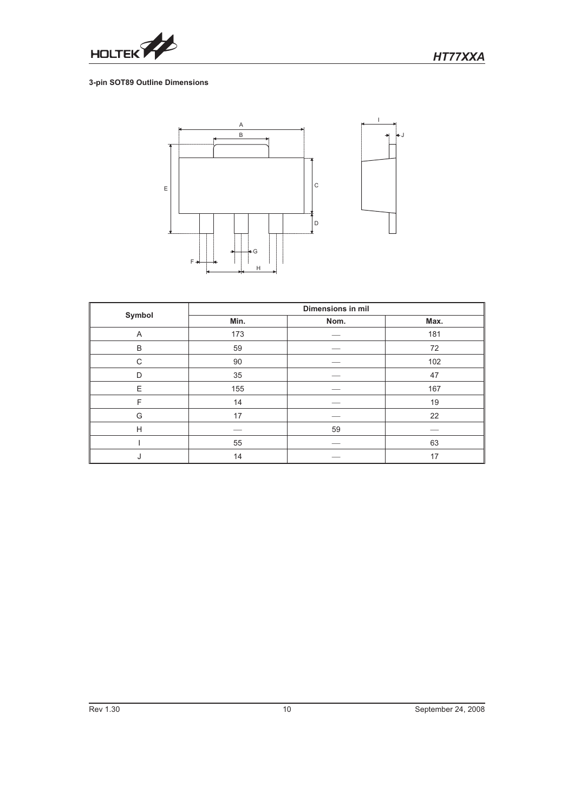

# **3-pin SOT89 Outline Dimensions**



|        | Dimensions in mil |      |      |  |
|--------|-------------------|------|------|--|
| Symbol | Min.              | Nom. | Max. |  |
| A      | 173               |      | 181  |  |
| B      | 59                |      | 72   |  |
| C      | 90                |      | 102  |  |
| D      | 35                |      | 47   |  |
| E      | 155               |      | 167  |  |
| F      | 14                |      | 19   |  |
| G      | 17                |      | 22   |  |
| H      |                   | 59   |      |  |
|        | 55                |      | 63   |  |
| J      | 14                |      | 17   |  |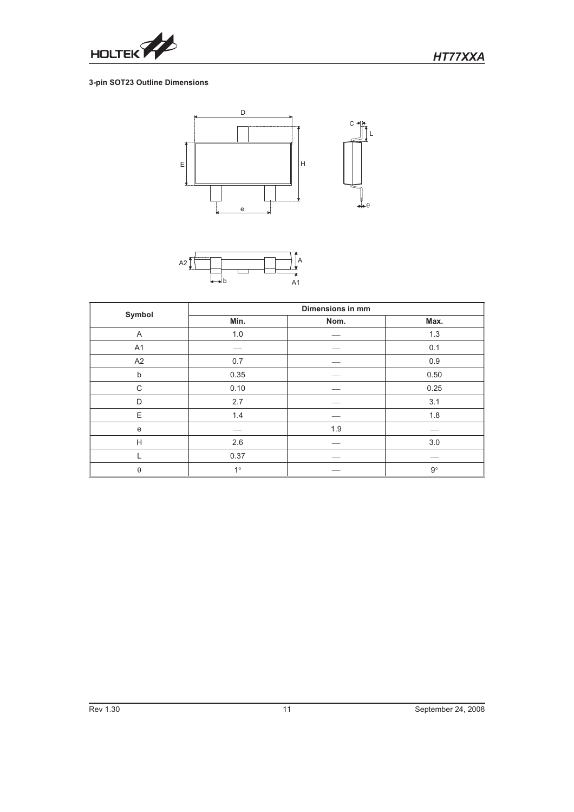

# **3-pin SOT23 Outline Dimensions**





|                | Dimensions in mm |      |             |  |
|----------------|------------------|------|-------------|--|
| Symbol         | Min.             | Nom. | Max.        |  |
| A              | 1.0              |      | 1.3         |  |
| A <sub>1</sub> |                  |      | 0.1         |  |
| A2             | 0.7              |      | 0.9         |  |
| b              | 0.35             |      | 0.50        |  |
| C              | 0.10             |      | 0.25        |  |
| D              | 2.7              |      | 3.1         |  |
| E              | 1.4              |      | 1.8         |  |
| ${\bf e}$      |                  | 1.9  |             |  |
| H              | 2.6              |      | 3.0         |  |
|                | 0.37             |      |             |  |
| $\theta$       | $1^{\circ}$      |      | $9^{\circ}$ |  |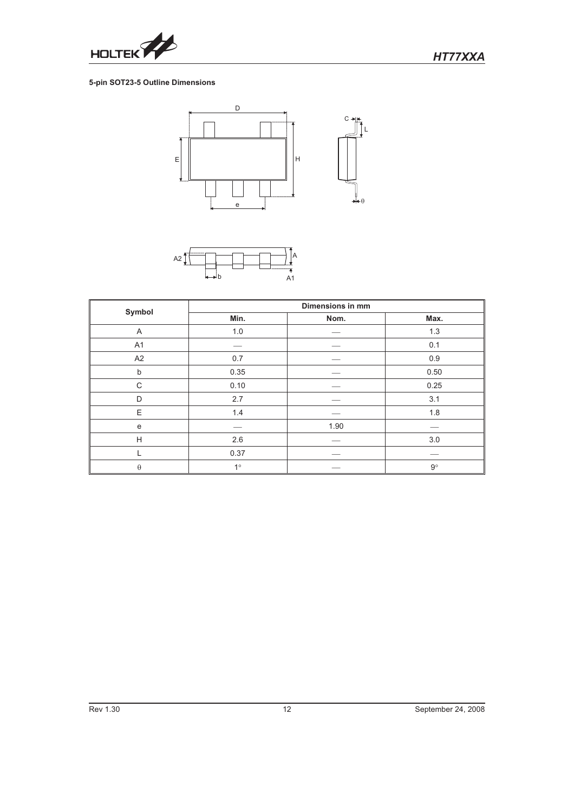

# **5-pin SOT23-5 Outline Dimensions**





|                | <b>Dimensions in mm</b> |      |             |  |
|----------------|-------------------------|------|-------------|--|
| Symbol         | Min.                    | Nom. | Max.        |  |
| A              | 1.0                     |      | 1.3         |  |
| A <sub>1</sub> |                         |      | 0.1         |  |
| A <sub>2</sub> | 0.7                     |      | 0.9         |  |
| b              | 0.35                    |      | 0.50        |  |
| C              | 0.10                    |      | 0.25        |  |
| D              | 2.7                     |      | 3.1         |  |
| E              | $1.4$                   |      | 1.8         |  |
| e              |                         | 1.90 |             |  |
| H              | 2.6                     |      | $3.0\,$     |  |
|                | 0.37                    |      |             |  |
| $\theta$       | $1^{\circ}$             |      | $9^{\circ}$ |  |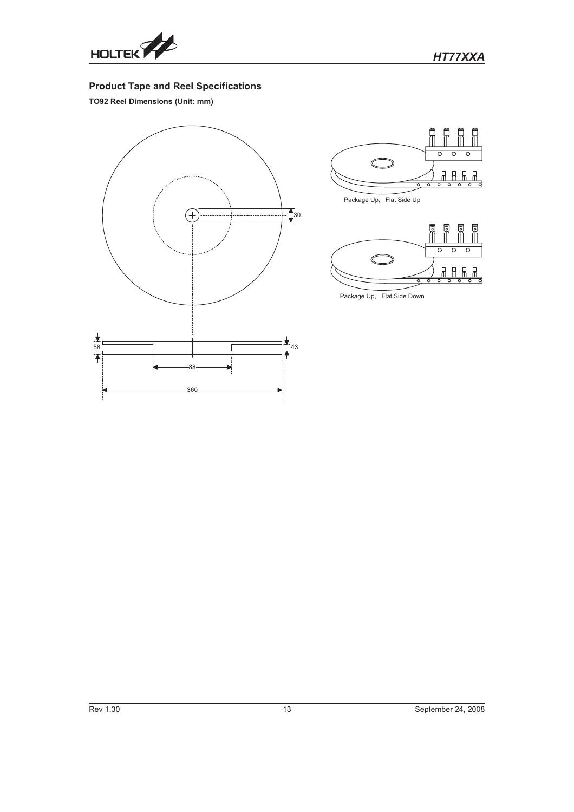

# **Product Tape and Reel Specifications**

**TO92 Reel Dimensions (Unit: mm)**







Package Up, Flat Side Down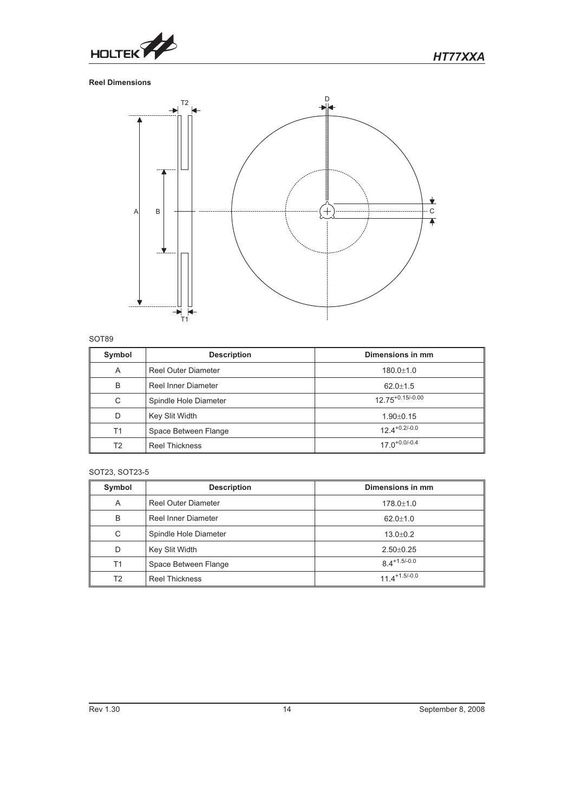

# **Reel Dimensions**



## SOT89

| Symbol | <b>Description</b>         | Dimensions in mm      |
|--------|----------------------------|-----------------------|
| A      | Reel Outer Diameter        | $180.0 + 1.0$         |
| B      | <b>Reel Inner Diameter</b> | $62.0 \pm 1.5$        |
| C      | Spindle Hole Diameter      | $12.75^{+0.15/-0.00}$ |
| D      | Key Slit Width             | $1.90 \pm 0.15$       |
| T1     | Space Between Flange       | $12.4^{+0.2/-0.0}$    |
| T2     | <b>Reel Thickness</b>      | $17.0^{+0.0/-0.4}$    |

# SOT23, SOT23-5

| Symbol         | <b>Description</b>         | Dimensions in mm            |
|----------------|----------------------------|-----------------------------|
| A              | <b>Reel Outer Diameter</b> | $178.0 \pm 1.0$             |
| B              | Reel Inner Diameter        | $62.0 + 1.0$                |
| C              | Spindle Hole Diameter      | $13.0 + 0.2$                |
| D              | Key Slit Width             | $2.50 \pm 0.25$             |
| T1             | Space Between Flange       | $8.4 + 1.5 - 0.0$           |
| T <sub>2</sub> | <b>Reel Thickness</b>      | $11.4$ <sup>+1.5/-0.0</sup> |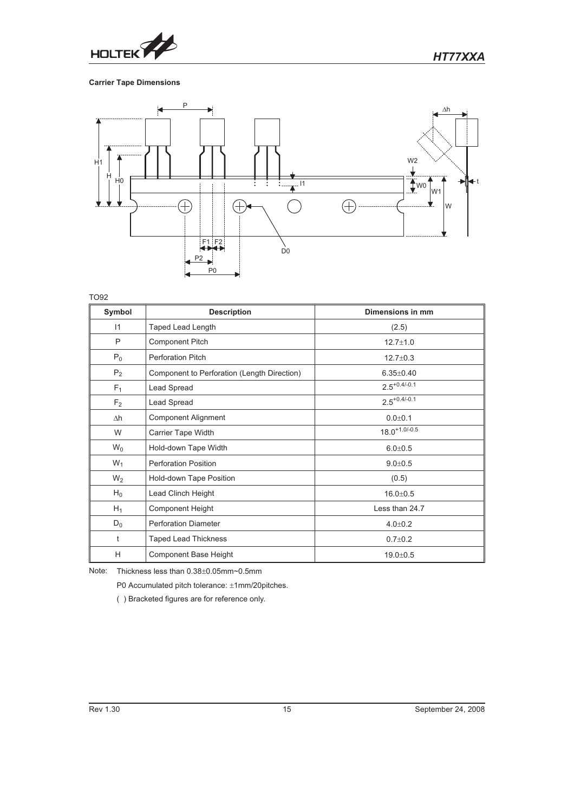

# **Carrier Tape Dimensions**



TO92

| Symbol         | <b>Description</b>                          | Dimensions in mm   |
|----------------|---------------------------------------------|--------------------|
| 11             | <b>Taped Lead Length</b>                    | (2.5)              |
| P              | <b>Component Pitch</b>                      | $12.7 \pm 1.0$     |
| $P_0$          | <b>Perforation Pitch</b>                    | $12.7 \pm 0.3$     |
| P <sub>2</sub> | Component to Perforation (Length Direction) | $6.35 \pm 0.40$    |
| F <sub>1</sub> | Lead Spread                                 | $2.5^{+0.4/-0.1}$  |
| F <sub>2</sub> | Lead Spread                                 | $2.5^{+0.4/-0.1}$  |
| $\Delta h$     | <b>Component Alignment</b>                  | $0.0 + 0.1$        |
| W              | Carrier Tape Width                          | $18.0^{+1.0/-0.5}$ |
| $W_0$          | Hold-down Tape Width                        | $6.0 + 0.5$        |
| $W_1$          | <b>Perforation Position</b>                 | $9.0 + 0.5$        |
| $W_2$          | Hold-down Tape Position                     | (0.5)              |
| $H_0$          | Lead Clinch Height                          | $16.0 + 0.5$       |
| $H_1$          | <b>Component Height</b>                     | Less than 24.7     |
| $D_0$          | <b>Perforation Diameter</b>                 | $4.0 + 0.2$        |
| t              | <b>Taped Lead Thickness</b>                 | $0.7 \pm 0.2$      |
| H              | Component Base Height                       | $19.0 \pm 0.5$     |

Note: Thickness less than  $0.38\pm0.05$ mm~0.5mm

P0 Accumulated pitch tolerance: ±1mm/20pitches.

( ) Bracketed figures are for reference only.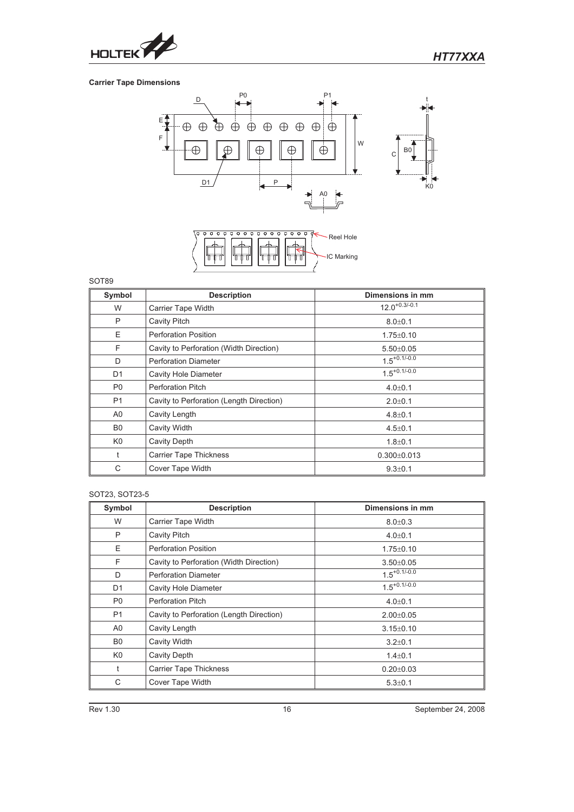

# **Carrier Tape Dimensions**



# SOT89

| Symbol         | <b>Description</b>                       | Dimensions in mm   |
|----------------|------------------------------------------|--------------------|
| W              | Carrier Tape Width                       | $12.0^{+0.3/-0.1}$ |
| P              | <b>Cavity Pitch</b>                      | $8.0 + 0.1$        |
| E              | <b>Perforation Position</b>              | $1.75 \pm 0.10$    |
| F              | Cavity to Perforation (Width Direction)  | $5.50 \pm 0.05$    |
| D              | <b>Perforation Diameter</b>              | $1.5^{+0.1/-0.0}$  |
| D <sub>1</sub> | <b>Cavity Hole Diameter</b>              | $1.5^{+0.1/-0.0}$  |
| P <sub>0</sub> | <b>Perforation Pitch</b>                 | $4.0 \pm 0.1$      |
| P <sub>1</sub> | Cavity to Perforation (Length Direction) | $2.0 \pm 0.1$      |
| A <sub>0</sub> | Cavity Length                            | $4.8 \pm 0.1$      |
| B <sub>0</sub> | Cavity Width                             | $4.5 \pm 0.1$      |
| K <sub>0</sub> | <b>Cavity Depth</b>                      | $1.8 + 0.1$        |
| t              | <b>Carrier Tape Thickness</b>            | $0.300 \pm 0.013$  |
| С              | Cover Tape Width                         | $9.3 \pm 0.1$      |

# SOT23, SOT23-5

| Symbol         | <b>Description</b>                       | Dimensions in mm  |
|----------------|------------------------------------------|-------------------|
| W              | <b>Carrier Tape Width</b>                | $8.0 + 0.3$       |
| P              | <b>Cavity Pitch</b>                      | $4.0 \pm 0.1$     |
| Ε              | <b>Perforation Position</b>              | $1.75 \pm 0.10$   |
| F              | Cavity to Perforation (Width Direction)  | $3.50 \pm 0.05$   |
| D              | <b>Perforation Diameter</b>              | $1.5^{+0.1/-0.0}$ |
| D <sub>1</sub> | <b>Cavity Hole Diameter</b>              | $1.5^{+0.1/-0.0}$ |
| P <sub>0</sub> | <b>Perforation Pitch</b>                 | $4.0 \pm 0.1$     |
| <b>P1</b>      | Cavity to Perforation (Length Direction) | $2.00 \pm 0.05$   |
| A0             | Cavity Length                            | $3.15 \pm 0.10$   |
| B <sub>0</sub> | Cavity Width                             | $3.2 \pm 0.1$     |
| K <sub>0</sub> | Cavity Depth                             | $1.4 \pm 0.1$     |
| t              | <b>Carrier Tape Thickness</b>            | $0.20 \pm 0.03$   |
| С              | Cover Tape Width                         | $5.3 \pm 0.1$     |